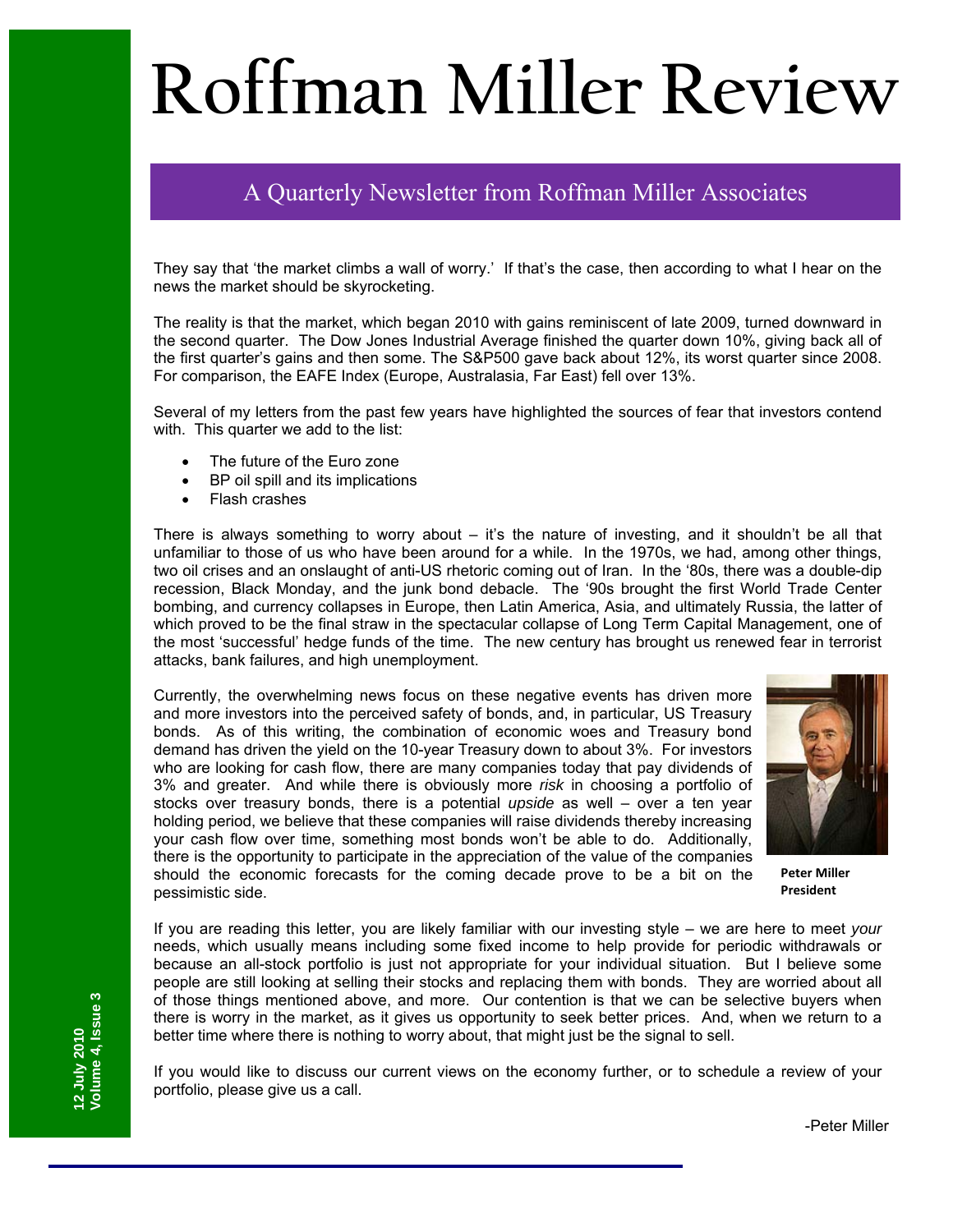# **Roffman Miller Review**

# A Quarterly Newsletter from Roffman Miller Associates

They say that 'the market climbs a wall of worry.' If that's the case, then according to what I hear on the news the market should be skyrocketing.

The reality is that the market, which began 2010 with gains reminiscent of late 2009, turned downward in the second quarter. The Dow Jones Industrial Average finished the quarter down 10%, giving back all of the first quarter's gains and then some. The S&P500 gave back about 12%, its worst quarter since 2008. For comparison, the EAFE Index (Europe, Australasia, Far East) fell over 13%.

Several of my letters from the past few years have highlighted the sources of fear that investors contend with. This quarter we add to the list:

- The future of the Euro zone
- BP oil spill and its implications
- Flash crashes

There is always something to worry about – it's the nature of investing, and it shouldn't be all that unfamiliar to those of us who have been around for a while. In the 1970s, we had, among other things, two oil crises and an onslaught of anti-US rhetoric coming out of Iran. In the '80s, there was a double-dip recession, Black Monday, and the junk bond debacle. The '90s brought the first World Trade Center bombing, and currency collapses in Europe, then Latin America, Asia, and ultimately Russia, the latter of which proved to be the final straw in the spectacular collapse of Long Term Capital Management, one of the most 'successful' hedge funds of the time. The new century has brought us renewed fear in terrorist attacks, bank failures, and high unemployment.

Currently, the overwhelming news focus on these negative events has driven more and more investors into the perceived safety of bonds, and, in particular, US Treasury bonds. As of this writing, the combination of economic woes and Treasury bond demand has driven the yield on the 10-year Treasury down to about 3%. For investors who are looking for cash flow, there are many companies today that pay dividends of 3% and greater. And while there is obviously more *risk* in choosing a portfolio of stocks over treasury bonds, there is a potential *upside* as well – over a ten year holding period, we believe that these companies will raise dividends thereby increasing your cash flow over time, something most bonds won't be able to do. Additionally, there is the opportunity to participate in the appreciation of the value of the companies should the economic forecasts for the coming decade prove to be a bit on the pessimistic side.



**Peter Miller President**

If you are reading this letter, you are likely familiar with our investing style – we are here to meet *your* needs, which usually means including some fixed income to help provide for periodic withdrawals or because an all-stock portfolio is just not appropriate for your individual situation. But I believe some people are still looking at selling their stocks and replacing them with bonds. They are worried about all of those things mentioned above, and more. Our contention is that we can be selective buyers when there is worry in the market, as it gives us opportunity to seek better prices. And, when we return to a better time where there is nothing to worry about, that might just be the signal to sell.

If you would like to discuss our current views on the economy further, or to schedule a review of your portfolio, please give us a call.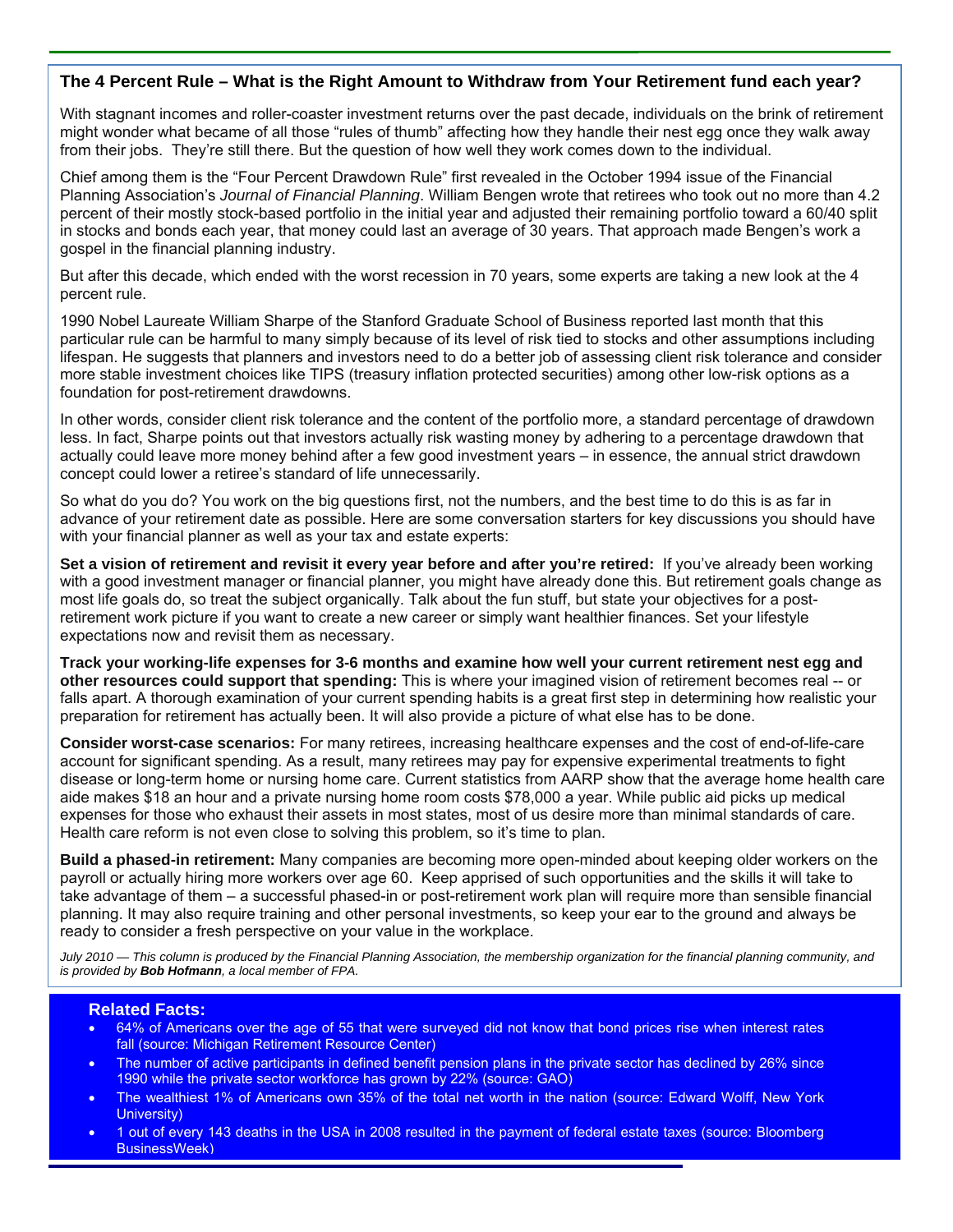#### **The 4 Percent Rule – What is the Right Amount to Withdraw from Your Retirement fund each year?**

With stagnant incomes and roller-coaster investment returns over the past decade, individuals on the brink of retirement might wonder what became of all those "rules of thumb" affecting how they handle their nest egg once they walk away from their jobs. They're still there. But the question of how well they work comes down to the individual.

Chief among them is the "Four Percent Drawdown Rule" first revealed in the October 1994 issue of the Financial Planning Association's *Journal of Financial Planning*. William Bengen wrote that retirees who took out no more than 4.2 percent of their mostly stock-based portfolio in the initial year and adjusted their remaining portfolio toward a 60/40 split in stocks and bonds each year, that money could last an average of 30 years. That approach made Bengen's work a gospel in the financial planning industry.

But after this decade, which ended with the worst recession in 70 years, some experts are taking a new look at the 4 percent rule.

1990 Nobel Laureate William Sharpe of the Stanford Graduate School of Business reported last month that this particular rule can be harmful to many simply because of its level of risk tied to stocks and other assumptions including lifespan. He suggests that planners and investors need to do a better job of assessing client risk tolerance and consider more stable investment choices like TIPS (treasury inflation protected securities) among other low-risk options as a foundation for post-retirement drawdowns.

In other words, consider client risk tolerance and the content of the portfolio more, a standard percentage of drawdown less. In fact, Sharpe points out that investors actually risk wasting money by adhering to a percentage drawdown that actually could leave more money behind after a few good investment years – in essence, the annual strict drawdown concept could lower a retiree's standard of life unnecessarily.

So what do you do? You work on the big questions first, not the numbers, and the best time to do this is as far in advance of your retirement date as possible. Here are some conversation starters for key discussions you should have with your financial planner as well as your tax and estate experts:

Set a vision of retirement and revisit it every year before and after you're retired: If you've already been working with a good investment manager or financial planner, you might have already done this. But retirement goals change as most life goals do, so treat the subject organically. Talk about the fun stuff, but state your objectives for a postretirement work picture if you want to create a new career or simply want healthier finances. Set your lifestyle expectations now and revisit them as necessary.

**Track your working-life expenses for 3-6 months and examine how well your current retirement nest egg and other resources could support that spending:** This is where your imagined vision of retirement becomes real -- or falls apart. A thorough examination of your current spending habits is a great first step in determining how realistic your preparation for retirement has actually been. It will also provide a picture of what else has to be done.

**Consider worst-case scenarios:** For many retirees, increasing healthcare expenses and the cost of end-of-life-care account for significant spending. As a result, many retirees may pay for expensive experimental treatments to fight disease or long-term home or nursing home care. Current statistics from AARP show that the average home health care aide makes \$18 an hour and a private nursing home room costs \$78,000 a year. While public aid picks up medical expenses for those who exhaust their assets in most states, most of us desire more than minimal standards of care. Health care reform is not even close to solving this problem, so it's time to plan.

**Build a phased-in retirement:** Many companies are becoming more open-minded about keeping older workers on the payroll or actually hiring more workers over age 60. Keep apprised of such opportunities and the skills it will take to take advantage of them – a successful phased-in or post-retirement work plan will require more than sensible financial planning. It may also require training and other personal investments, so keep your ear to the ground and always be ready to consider a fresh perspective on your value in the workplace.

*July 2010 — This column is produced by the Financial Planning Association, the membership organization for the financial planning community, and is provided by Bob Hofmann, a local member of FPA.* 

#### **Related Facts:**

- 64% of Americans over the age of 55 that were surveyed did not know that bond prices rise when interest rates fall (source: Michigan Retirement Resource Center)
- The number of active participants in defined benefit pension plans in the private sector has declined by 26% since 1990 while the private sector workforce has grown by 22% (source: GAO)
- The wealthiest 1% of Americans own 35% of the total net worth in the nation (source: Edward Wolff, New York University)
- 1 out of every 143 deaths in the USA in 2008 resulted in the payment of federal estate taxes (source: Bloomberg BusinessWeek)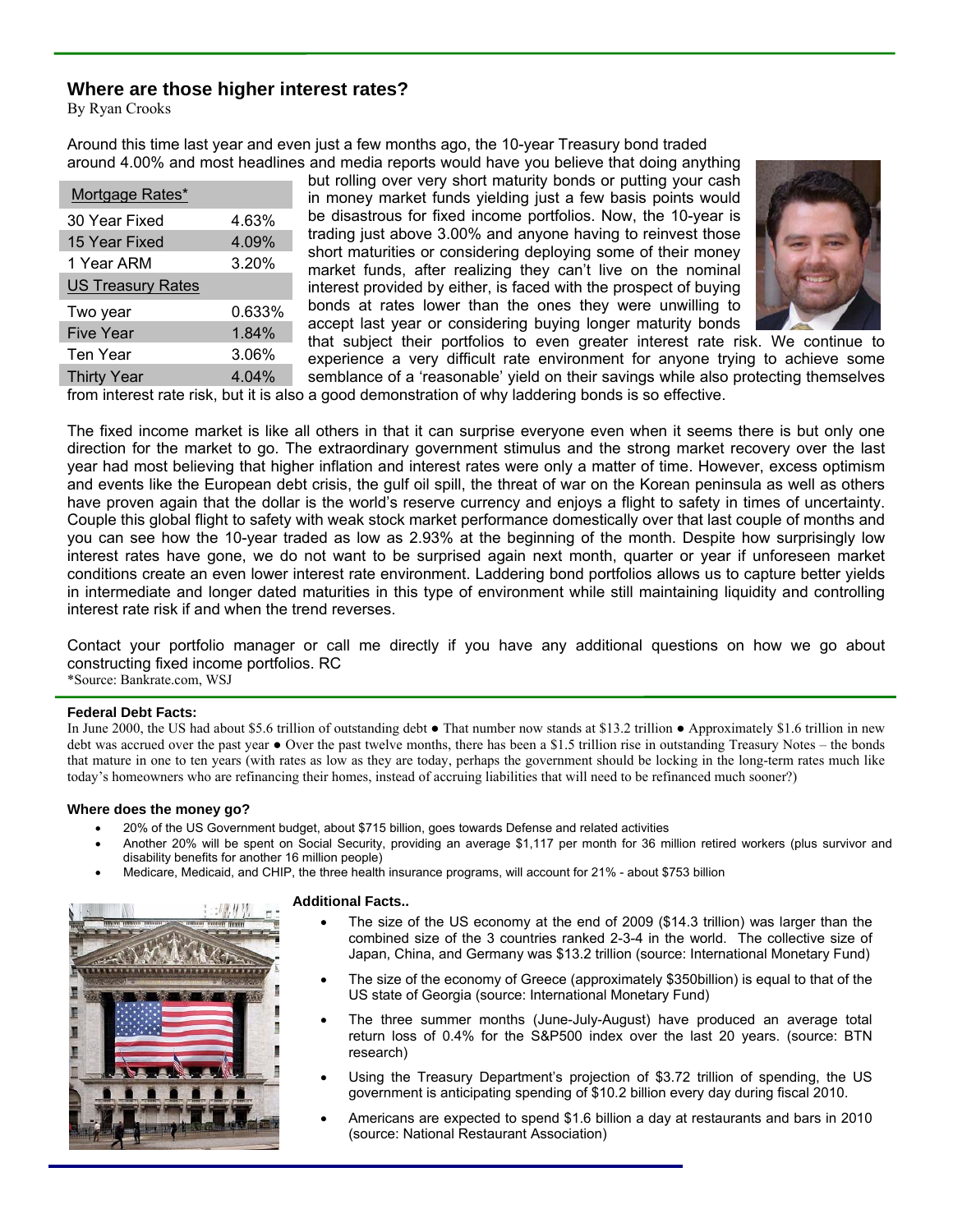### **Where are those higher interest rates?**

By Ryan Crooks

Around this time last year and even just a few months ago, the 10-year Treasury bond traded around 4.00% and most headlines and media reports would have you believe that doing anything

| Mortgage Rates*          |        |
|--------------------------|--------|
| 30 Year Fixed            | 4.63%  |
| 15 Year Fixed            | 4.09%  |
| 1 Year ARM               | 3.20%  |
| <b>US Treasury Rates</b> |        |
| Two year                 | 0.633% |
| <b>Five Year</b>         | 1.84%  |
| Ten Year                 | 3.06%  |
| <b>Thirty Year</b>       | 4.04%  |

but rolling over very short maturity bonds or putting your cash in money market funds yielding just a few basis points would be disastrous for fixed income portfolios. Now, the 10-year is trading just above 3.00% and anyone having to reinvest those short maturities or considering deploying some of their money market funds, after realizing they can't live on the nominal interest provided by either, is faced with the prospect of buying bonds at rates lower than the ones they were unwilling to accept last year or considering buying longer maturity bonds that subject their portfolios to even greater interest rate risk. We continue to



experience a very difficult rate environment for anyone trying to achieve some semblance of a 'reasonable' yield on their savings while also protecting themselves from interest rate risk, but it is also a good demonstration of why laddering bonds is so effective.

The fixed income market is like all others in that it can surprise everyone even when it seems there is but only one direction for the market to go. The extraordinary government stimulus and the strong market recovery over the last year had most believing that higher inflation and interest rates were only a matter of time. However, excess optimism and events like the European debt crisis, the gulf oil spill, the threat of war on the Korean peninsula as well as others have proven again that the dollar is the world's reserve currency and enjoys a flight to safety in times of uncertainty. Couple this global flight to safety with weak stock market performance domestically over that last couple of months and you can see how the 10-year traded as low as 2.93% at the beginning of the month. Despite how surprisingly low interest rates have gone, we do not want to be surprised again next month, quarter or year if unforeseen market conditions create an even lower interest rate environment. Laddering bond portfolios allows us to capture better yields in intermediate and longer dated maturities in this type of environment while still maintaining liquidity and controlling interest rate risk if and when the trend reverses.

Contact your portfolio manager or call me directly if you have any additional questions on how we go about constructing fixed income portfolios. RC \*Source: Bankrate.com, WSJ

#### **Federal Debt Facts:**

In June 2000, the US had about \$5.6 trillion of outstanding debt ● That number now stands at \$13.2 trillion ● Approximately \$1.6 trillion in new debt was accrued over the past year  $\bullet$  Over the past twelve months, there has been a \$1.5 trillion rise in outstanding Treasury Notes – the bonds that mature in one to ten years (with rates as low as they are today, perhaps the government should be locking in the long-term rates much like today's homeowners who are refinancing their homes, instead of accruing liabilities that will need to be refinanced much sooner?)

#### **Where does the money go?**

- 20% of the US Government budget, about \$715 billion, goes towards Defense and related activities
- Another 20% will be spent on Social Security, providing an average \$1,117 per month for 36 million retired workers (plus survivor and disability benefits for another 16 million people)
- Medicare, Medicaid, and CHIP, the three health insurance programs, will account for 21% about \$753 billion



#### **Additional Facts..**

- The size of the US economy at the end of 2009 (\$14.3 trillion) was larger than the combined size of the 3 countries ranked 2-3-4 in the world. The collective size of Japan, China, and Germany was \$13.2 trillion (source: International Monetary Fund)
- The size of the economy of Greece (approximately \$350billion) is equal to that of the US state of Georgia (source: International Monetary Fund)
- The three summer months (June-July-August) have produced an average total return loss of 0.4% for the S&P500 index over the last 20 years. (source: BTN research)
- Using the Treasury Department's projection of \$3.72 trillion of spending, the US government is anticipating spending of \$10.2 billion every day during fiscal 2010.
- Americans are expected to spend \$1.6 billion a day at restaurants and bars in 2010 (source: National Restaurant Association)